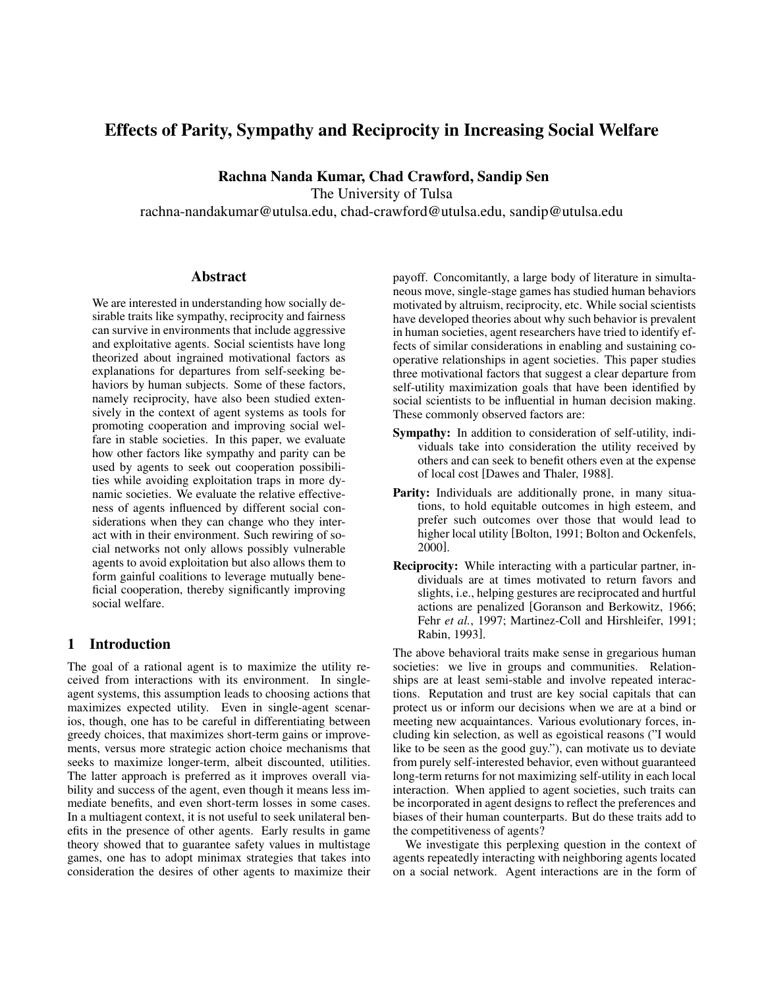# Effects of Parity, Sympathy and Reciprocity in Increasing Social Welfare

Rachna Nanda Kumar, Chad Crawford, Sandip Sen

The University of Tulsa

rachna-nandakumar@utulsa.edu, chad-crawford@utulsa.edu, sandip@utulsa.edu

### Abstract

We are interested in understanding how socially desirable traits like sympathy, reciprocity and fairness can survive in environments that include aggressive and exploitative agents. Social scientists have long theorized about ingrained motivational factors as explanations for departures from self-seeking behaviors by human subjects. Some of these factors, namely reciprocity, have also been studied extensively in the context of agent systems as tools for promoting cooperation and improving social welfare in stable societies. In this paper, we evaluate how other factors like sympathy and parity can be used by agents to seek out cooperation possibilities while avoiding exploitation traps in more dynamic societies. We evaluate the relative effectiveness of agents influenced by different social considerations when they can change who they interact with in their environment. Such rewiring of social networks not only allows possibly vulnerable agents to avoid exploitation but also allows them to form gainful coalitions to leverage mutually beneficial cooperation, thereby significantly improving social welfare.

# 1 Introduction

The goal of a rational agent is to maximize the utility received from interactions with its environment. In singleagent systems, this assumption leads to choosing actions that maximizes expected utility. Even in single-agent scenarios, though, one has to be careful in differentiating between greedy choices, that maximizes short-term gains or improvements, versus more strategic action choice mechanisms that seeks to maximize longer-term, albeit discounted, utilities. The latter approach is preferred as it improves overall viability and success of the agent, even though it means less immediate benefits, and even short-term losses in some cases. In a multiagent context, it is not useful to seek unilateral benefits in the presence of other agents. Early results in game theory showed that to guarantee safety values in multistage games, one has to adopt minimax strategies that takes into consideration the desires of other agents to maximize their payoff. Concomitantly, a large body of literature in simultaneous move, single-stage games has studied human behaviors motivated by altruism, reciprocity, etc. While social scientists have developed theories about why such behavior is prevalent in human societies, agent researchers have tried to identify effects of similar considerations in enabling and sustaining cooperative relationships in agent societies. This paper studies three motivational factors that suggest a clear departure from self-utility maximization goals that have been identified by social scientists to be influential in human decision making. These commonly observed factors are:

- Sympathy: In addition to consideration of self-utility, individuals take into consideration the utility received by others and can seek to benefit others even at the expense of local cost [Dawes and Thaler, 1988].
- Parity: Individuals are additionally prone, in many situations, to hold equitable outcomes in high esteem, and prefer such outcomes over those that would lead to higher local utility [Bolton, 1991; Bolton and Ockenfels, 2000].
- Reciprocity: While interacting with a particular partner, individuals are at times motivated to return favors and slights, i.e., helping gestures are reciprocated and hurtful actions are penalized [Goranson and Berkowitz, 1966; Fehr et al., 1997; Martinez-Coll and Hirshleifer, 1991; Rabin, 1993].

The above behavioral traits make sense in gregarious human societies: we live in groups and communities. Relationships are at least semi-stable and involve repeated interactions. Reputation and trust are key social capitals that can protect us or inform our decisions when we are at a bind or meeting new acquaintances. Various evolutionary forces, including kin selection, as well as egoistical reasons ("I would like to be seen as the good guy."), can motivate us to deviate from purely self-interested behavior, even without guaranteed long-term returns for not maximizing self-utility in each local interaction. When applied to agent societies, such traits can be incorporated in agent designs to reflect the preferences and biases of their human counterparts. But do these traits add to the competitiveness of agents?

We investigate this perplexing question in the context of agents repeatedly interacting with neighboring agents located on a social network. Agent interactions are in the form of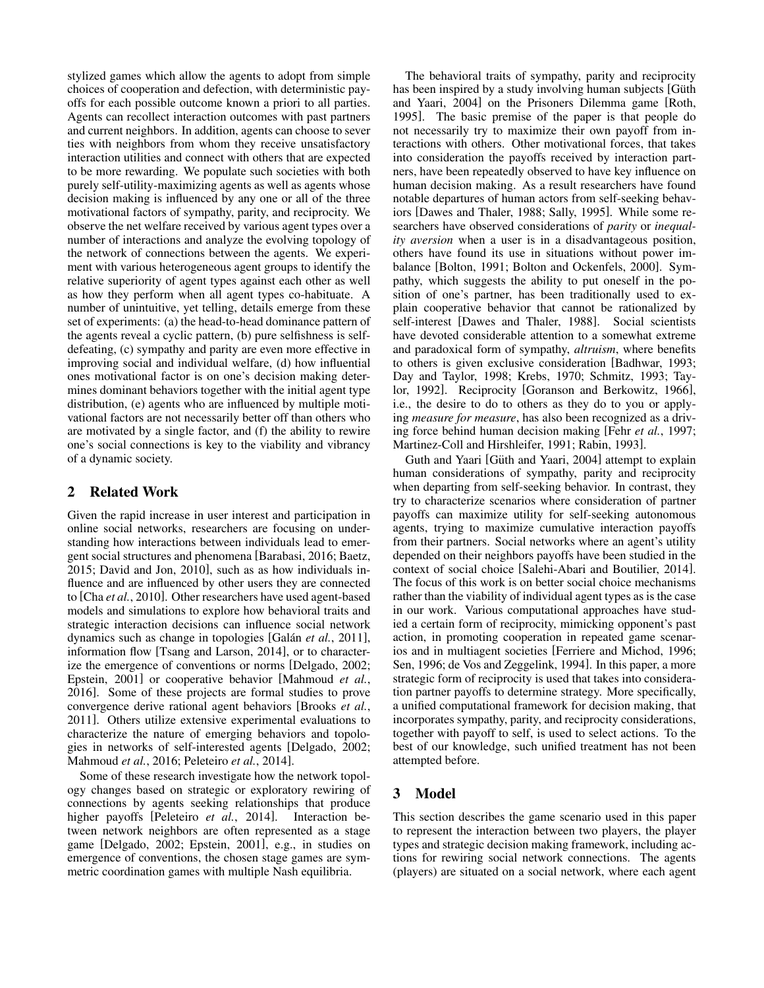stylized games which allow the agents to adopt from simple choices of cooperation and defection, with deterministic payoffs for each possible outcome known a priori to all parties. Agents can recollect interaction outcomes with past partners and current neighbors. In addition, agents can choose to sever ties with neighbors from whom they receive unsatisfactory interaction utilities and connect with others that are expected to be more rewarding. We populate such societies with both purely self-utility-maximizing agents as well as agents whose decision making is influenced by any one or all of the three motivational factors of sympathy, parity, and reciprocity. We observe the net welfare received by various agent types over a number of interactions and analyze the evolving topology of the network of connections between the agents. We experiment with various heterogeneous agent groups to identify the relative superiority of agent types against each other as well as how they perform when all agent types co-habituate. A number of unintuitive, yet telling, details emerge from these set of experiments: (a) the head-to-head dominance pattern of the agents reveal a cyclic pattern, (b) pure selfishness is selfdefeating, (c) sympathy and parity are even more effective in improving social and individual welfare, (d) how influential ones motivational factor is on one's decision making determines dominant behaviors together with the initial agent type distribution, (e) agents who are influenced by multiple motivational factors are not necessarily better off than others who are motivated by a single factor, and (f) the ability to rewire one's social connections is key to the viability and vibrancy of a dynamic society.

# 2 Related Work

Given the rapid increase in user interest and participation in online social networks, researchers are focusing on understanding how interactions between individuals lead to emergent social structures and phenomena [Barabasi, 2016; Baetz, 2015; David and Jon, 2010], such as as how individuals influence and are influenced by other users they are connected to [Cha *et al.*, 2010]. Other researchers have used agent-based models and simulations to explore how behavioral traits and strategic interaction decisions can influence social network dynamics such as change in topologies [Galán *et al.*, 2011], information flow [Tsang and Larson, 2014], or to characterize the emergence of conventions or norms [Delgado, 2002; Epstein, 2001] or cooperative behavior [Mahmoud *et al.*, 2016]. Some of these projects are formal studies to prove convergence derive rational agent behaviors [Brooks *et al.*, 2011]. Others utilize extensive experimental evaluations to characterize the nature of emerging behaviors and topologies in networks of self-interested agents [Delgado, 2002; Mahmoud *et al.*, 2016; Peleteiro *et al.*, 2014].

Some of these research investigate how the network topology changes based on strategic or exploratory rewiring of connections by agents seeking relationships that produce higher payoffs [Peleteiro *et al.*, 2014]. Interaction between network neighbors are often represented as a stage game [Delgado, 2002; Epstein, 2001], e.g., in studies on emergence of conventions, the chosen stage games are symmetric coordination games with multiple Nash equilibria.

The behavioral traits of sympathy, parity and reciprocity has been inspired by a study involving human subjects [Güth and Yaari, 2004] on the Prisoners Dilemma game [Roth, 1995]. The basic premise of the paper is that people do not necessarily try to maximize their own payoff from interactions with others. Other motivational forces, that takes into consideration the payoffs received by interaction partners, have been repeatedly observed to have key influence on human decision making. As a result researchers have found notable departures of human actors from self-seeking behaviors [Dawes and Thaler, 1988; Sally, 1995]. While some researchers have observed considerations of *parity* or *inequality aversion* when a user is in a disadvantageous position, others have found its use in situations without power imbalance [Bolton, 1991; Bolton and Ockenfels, 2000]. Sympathy, which suggests the ability to put oneself in the position of one's partner, has been traditionally used to explain cooperative behavior that cannot be rationalized by self-interest [Dawes and Thaler, 1988]. Social scientists have devoted considerable attention to a somewhat extreme and paradoxical form of sympathy, *altruism*, where benefits to others is given exclusive consideration [Badhwar, 1993; Day and Taylor, 1998; Krebs, 1970; Schmitz, 1993; Taylor, 1992]. Reciprocity [Goranson and Berkowitz, 1966], i.e., the desire to do to others as they do to you or applying *measure for measure*, has also been recognized as a driving force behind human decision making [Fehr *et al.*, 1997; Martinez-Coll and Hirshleifer, 1991; Rabin, 1993].

Guth and Yaari [Güth and Yaari, 2004] attempt to explain human considerations of sympathy, parity and reciprocity when departing from self-seeking behavior. In contrast, they try to characterize scenarios where consideration of partner payoffs can maximize utility for self-seeking autonomous agents, trying to maximize cumulative interaction payoffs from their partners. Social networks where an agent's utility depended on their neighbors payoffs have been studied in the context of social choice [Salehi-Abari and Boutilier, 2014]. The focus of this work is on better social choice mechanisms rather than the viability of individual agent types as is the case in our work. Various computational approaches have studied a certain form of reciprocity, mimicking opponent's past action, in promoting cooperation in repeated game scenarios and in multiagent societies [Ferriere and Michod, 1996; Sen, 1996; de Vos and Zeggelink, 1994]. In this paper, a more strategic form of reciprocity is used that takes into consideration partner payoffs to determine strategy. More specifically, a unified computational framework for decision making, that incorporates sympathy, parity, and reciprocity considerations, together with payoff to self, is used to select actions. To the best of our knowledge, such unified treatment has not been attempted before.

# 3 Model

This section describes the game scenario used in this paper to represent the interaction between two players, the player types and strategic decision making framework, including actions for rewiring social network connections. The agents (players) are situated on a social network, where each agent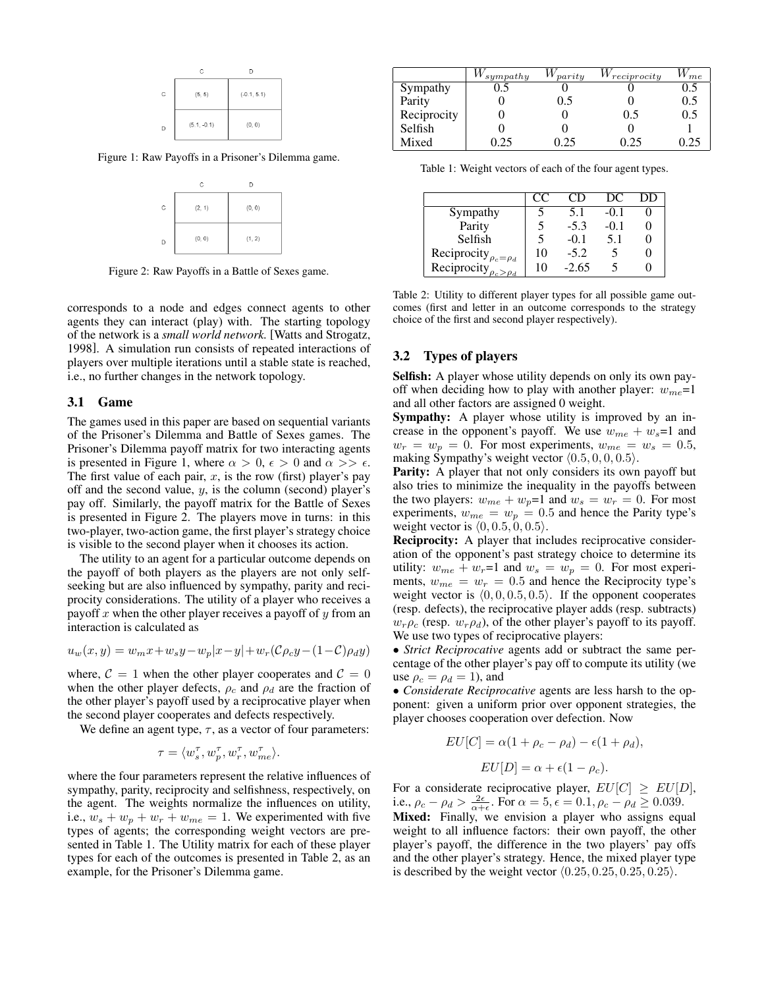|   | C             | D             |
|---|---------------|---------------|
| C | (5, 5)        | $(-0.1, 5.1)$ |
| D | $(5.1, -0.1)$ | (0, 0)        |

Figure 1: Raw Payoffs in a Prisoner's Dilemma game.



Figure 2: Raw Payoffs in a Battle of Sexes game.

corresponds to a node and edges connect agents to other agents they can interact (play) with. The starting topology of the network is a *small world network.* [Watts and Strogatz, 1998]. A simulation run consists of repeated interactions of players over multiple iterations until a stable state is reached, i.e., no further changes in the network topology.

#### 3.1 Game

The games used in this paper are based on sequential variants of the Prisoner's Dilemma and Battle of Sexes games. The Prisoner's Dilemma payoff matrix for two interacting agents is presented in Figure 1, where  $\alpha > 0$ ,  $\epsilon > 0$  and  $\alpha >> \epsilon$ . The first value of each pair,  $x$ , is the row (first) player's pay off and the second value,  $y$ , is the column (second) player's pay off. Similarly, the payoff matrix for the Battle of Sexes is presented in Figure 2. The players move in turns: in this two-player, two-action game, the first player's strategy choice is visible to the second player when it chooses its action.

The utility to an agent for a particular outcome depends on the payoff of both players as the players are not only selfseeking but are also influenced by sympathy, parity and reciprocity considerations. The utility of a player who receives a payoff x when the other player receives a payoff of  $y$  from an interaction is calculated as

$$
u_w(x,y) = w_m x + w_s y - w_p |x - y| + w_r (\mathcal{C} \rho_c y - (1 - \mathcal{C}) \rho_d y)
$$

where,  $C = 1$  when the other player cooperates and  $C = 0$ when the other player defects,  $\rho_c$  and  $\rho_d$  are the fraction of the other player's payoff used by a reciprocative player when the second player cooperates and defects respectively.

We define an agent type,  $\tau$ , as a vector of four parameters:

$$
\tau = \langle w_s^{\tau}, w_p^{\tau}, w_r^{\tau}, w_{me}^{\tau} \rangle.
$$

where the four parameters represent the relative influences of sympathy, parity, reciprocity and selfishness, respectively, on the agent. The weights normalize the influences on utility, i.e.,  $w_s + w_p + w_r + w_{me} = 1$ . We experimented with five types of agents; the corresponding weight vectors are presented in Table 1. The Utility matrix for each of these player types for each of the outcomes is presented in Table 2, as an example, for the Prisoner's Dilemma game.

|             | $\vee$ sympathy | $W_{parity}$ | $W_{reciprocity}$ | $W_{me}$ |
|-------------|-----------------|--------------|-------------------|----------|
| Sympathy    |                 |              |                   | 0.5      |
| Parity      |                 | ().)         |                   | 0.5      |
| Reciprocity |                 |              | 0.5               | 0.5      |
| Selfish     |                 |              |                   |          |
| Mixed       | 25              | ⊇ 25         |                   |          |

Table 1: Weight vectors of each of the four agent types.

|                               | CC | CD.     | DС     | DD |
|-------------------------------|----|---------|--------|----|
| Sympathy                      |    | 5.1     | $-0.1$ |    |
| Parity                        |    | $-5.3$  | $-0.1$ |    |
| Selfish                       |    | $-0.1$  | 5.1    |    |
| Reciprocity $\rho_c = \rho_d$ | 10 | $-5.2$  |        |    |
| Reciprocity $\rho_c > \rho_d$ | 10 | $-2.65$ |        |    |

Table 2: Utility to different player types for all possible game outcomes (first and letter in an outcome corresponds to the strategy choice of the first and second player respectively).

## 3.2 Types of players

Selfish: A player whose utility depends on only its own payoff when deciding how to play with another player:  $w_{me}$ =1 and all other factors are assigned 0 weight.

Sympathy: A player whose utility is improved by an increase in the opponent's payoff. We use  $w_{me} + w_s = 1$  and  $w_r = w_p = 0$ . For most experiments,  $w_{me} = w_s = 0.5$ , making Sympathy's weight vector  $(0.5, 0, 0, 0.5)$ .

Parity: A player that not only considers its own payoff but also tries to minimize the inequality in the payoffs between the two players:  $w_{me} + w_p = 1$  and  $w_s = w_r = 0$ . For most experiments,  $w_{me} = w_p = 0.5$  and hence the Parity type's weight vector is  $\langle 0, 0.5, 0, 0.5 \rangle$ .

Reciprocity: A player that includes reciprocative consideration of the opponent's past strategy choice to determine its utility:  $w_{me} + w_r = 1$  and  $w_s = w_p = 0$ . For most experiments,  $w_{me} = w_r = 0.5$  and hence the Reciprocity type's weight vector is  $(0, 0, 0.5, 0.5)$ . If the opponent cooperates (resp. defects), the reciprocative player adds (resp. subtracts)  $w_r \rho_c$  (resp.  $w_r \rho_d$ ), of the other player's payoff to its payoff. We use two types of reciprocative players:

• *Strict Reciprocative* agents add or subtract the same percentage of the other player's pay off to compute its utility (we use  $\rho_c = \rho_d = 1$ ), and

• *Considerate Reciprocative* agents are less harsh to the opponent: given a uniform prior over opponent strategies, the player chooses cooperation over defection. Now

$$
EU[C] = \alpha(1 + \rho_c - \rho_d) - \epsilon(1 + \rho_d),
$$

$$
EU[D] = \alpha + \epsilon(1 - \rho_c).
$$

For a considerate reciprocative player,  $EU[C] \geq EU[D],$ i.e.,  $\rho_c - \rho_d > \frac{2\epsilon}{\alpha + \epsilon}$ . For  $\alpha = 5, \epsilon = 0.1, \rho_c - \rho_d \ge 0.039$ .

Mixed: Finally, we envision a player who assigns equal weight to all influence factors: their own payoff, the other player's payoff, the difference in the two players' pay offs and the other player's strategy. Hence, the mixed player type is described by the weight vector  $(0.25, 0.25, 0.25, 0.25)$ .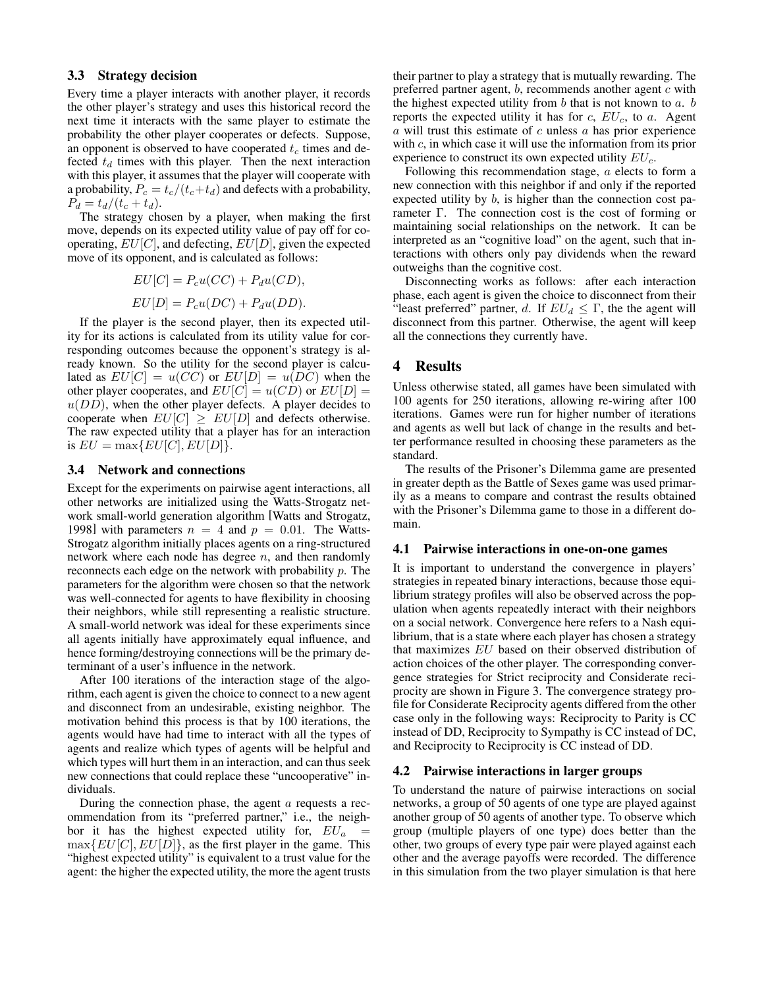#### 3.3 Strategy decision

Every time a player interacts with another player, it records the other player's strategy and uses this historical record the next time it interacts with the same player to estimate the probability the other player cooperates or defects. Suppose, an opponent is observed to have cooperated  $t_c$  times and defected  $t_d$  times with this player. Then the next interaction with this player, it assumes that the player will cooperate with a probability,  $P_c = t_c/(t_c+t_d)$  and defects with a probability,  $P_d = t_d/(t_c + t_d).$ 

The strategy chosen by a player, when making the first move, depends on its expected utility value of pay off for cooperating,  $EU[C]$ , and defecting,  $EU[D]$ , given the expected move of its opponent, and is calculated as follows:

$$
EU[C] = P_c u(CC) + P_d u(CD),
$$
  

$$
EU[D] = P_c u(DC) + P_d u(DD).
$$

If the player is the second player, then its expected utility for its actions is calculated from its utility value for corresponding outcomes because the opponent's strategy is already known. So the utility for the second player is calculated as  $EU[C] = u(CC)$  or  $EU[D] = u(DC)$  when the other player cooperates, and  $EU[C] = u(CD)$  or  $EU[D] =$  $u(DD)$ , when the other player defects. A player decides to cooperate when  $EU[C] \geq EU[D]$  and defects otherwise. The raw expected utility that a player has for an interaction is  $EU = \max\{EU[C], EU[D]\}.$ 

#### 3.4 Network and connections

Except for the experiments on pairwise agent interactions, all other networks are initialized using the Watts-Strogatz network small-world generation algorithm [Watts and Strogatz, 1998] with parameters  $n = 4$  and  $p = 0.01$ . The Watts-Strogatz algorithm initially places agents on a ring-structured network where each node has degree  $n$ , and then randomly reconnects each edge on the network with probability p. The parameters for the algorithm were chosen so that the network was well-connected for agents to have flexibility in choosing their neighbors, while still representing a realistic structure. A small-world network was ideal for these experiments since all agents initially have approximately equal influence, and hence forming/destroying connections will be the primary determinant of a user's influence in the network.

After 100 iterations of the interaction stage of the algorithm, each agent is given the choice to connect to a new agent and disconnect from an undesirable, existing neighbor. The motivation behind this process is that by 100 iterations, the agents would have had time to interact with all the types of agents and realize which types of agents will be helpful and which types will hurt them in an interaction, and can thus seek new connections that could replace these "uncooperative" individuals.

During the connection phase, the agent  $a$  requests a recommendation from its "preferred partner," i.e., the neighbor it has the highest expected utility for,  $EU_a$  $\max\{EU[C], EU[D]\}$ , as the first player in the game. This "highest expected utility" is equivalent to a trust value for the agent: the higher the expected utility, the more the agent trusts their partner to play a strategy that is mutually rewarding. The preferred partner agent,  $b$ , recommends another agent  $c$  with the highest expected utility from  $b$  that is not known to  $a$ .  $b$ reports the expected utility it has for  $c$ ,  $EU_c$ , to  $a$ . Agent  $\alpha$  will trust this estimate of  $\alpha$  unless  $\alpha$  has prior experience with c, in which case it will use the information from its prior experience to construct its own expected utility  $EU_c$ .

Following this recommendation stage, a elects to form a new connection with this neighbor if and only if the reported expected utility by b, is higher than the connection cost parameter Γ. The connection cost is the cost of forming or maintaining social relationships on the network. It can be interpreted as an "cognitive load" on the agent, such that interactions with others only pay dividends when the reward outweighs than the cognitive cost.

Disconnecting works as follows: after each interaction phase, each agent is given the choice to disconnect from their "least preferred" partner, d. If  $EU_d \leq \Gamma$ , the the agent will disconnect from this partner. Otherwise, the agent will keep all the connections they currently have.

### 4 Results

Unless otherwise stated, all games have been simulated with 100 agents for 250 iterations, allowing re-wiring after 100 iterations. Games were run for higher number of iterations and agents as well but lack of change in the results and better performance resulted in choosing these parameters as the standard.

The results of the Prisoner's Dilemma game are presented in greater depth as the Battle of Sexes game was used primarily as a means to compare and contrast the results obtained with the Prisoner's Dilemma game to those in a different domain.

#### 4.1 Pairwise interactions in one-on-one games

It is important to understand the convergence in players' strategies in repeated binary interactions, because those equilibrium strategy profiles will also be observed across the population when agents repeatedly interact with their neighbors on a social network. Convergence here refers to a Nash equilibrium, that is a state where each player has chosen a strategy that maximizes EU based on their observed distribution of action choices of the other player. The corresponding convergence strategies for Strict reciprocity and Considerate reciprocity are shown in Figure 3. The convergence strategy profile for Considerate Reciprocity agents differed from the other case only in the following ways: Reciprocity to Parity is CC instead of DD, Reciprocity to Sympathy is CC instead of DC, and Reciprocity to Reciprocity is CC instead of DD.

#### 4.2 Pairwise interactions in larger groups

To understand the nature of pairwise interactions on social networks, a group of 50 agents of one type are played against another group of 50 agents of another type. To observe which group (multiple players of one type) does better than the other, two groups of every type pair were played against each other and the average payoffs were recorded. The difference in this simulation from the two player simulation is that here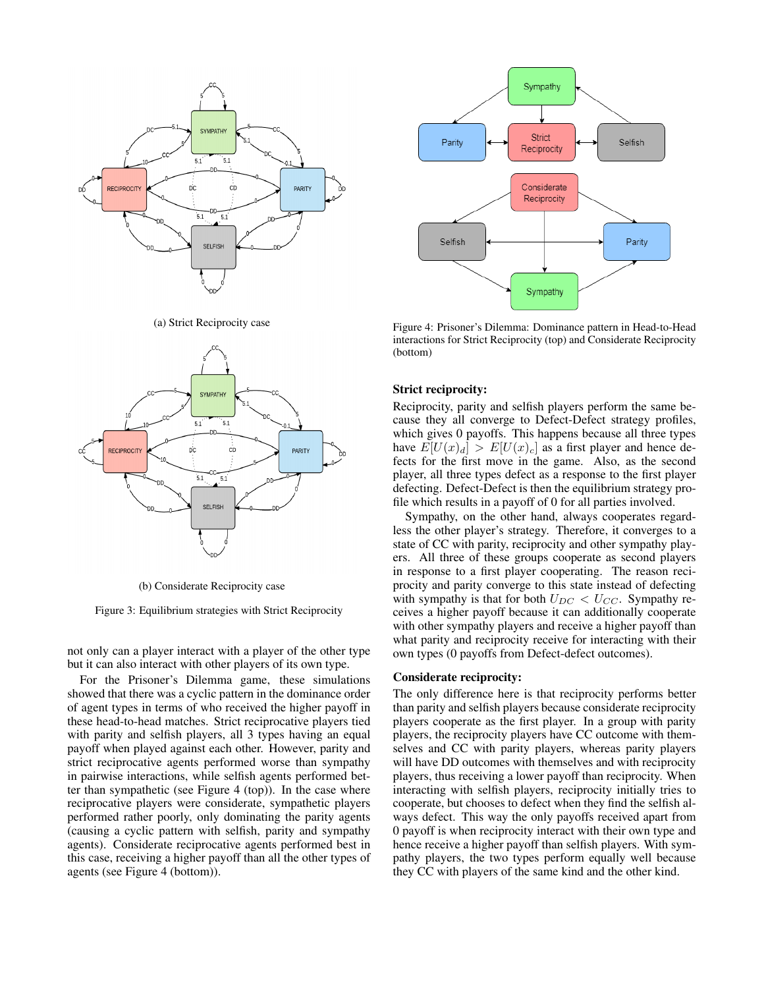

(a) Strict Reciprocity case



(b) Considerate Reciprocity case

Figure 3: Equilibrium strategies with Strict Reciprocity

not only can a player interact with a player of the other type but it can also interact with other players of its own type.

For the Prisoner's Dilemma game, these simulations showed that there was a cyclic pattern in the dominance order of agent types in terms of who received the higher payoff in these head-to-head matches. Strict reciprocative players tied with parity and selfish players, all 3 types having an equal payoff when played against each other. However, parity and strict reciprocative agents performed worse than sympathy in pairwise interactions, while selfish agents performed better than sympathetic (see Figure 4 (top)). In the case where reciprocative players were considerate, sympathetic players performed rather poorly, only dominating the parity agents (causing a cyclic pattern with selfish, parity and sympathy agents). Considerate reciprocative agents performed best in this case, receiving a higher payoff than all the other types of agents (see Figure 4 (bottom)).



Figure 4: Prisoner's Dilemma: Dominance pattern in Head-to-Head interactions for Strict Reciprocity (top) and Considerate Reciprocity (bottom)

#### Strict reciprocity:

Reciprocity, parity and selfish players perform the same because they all converge to Defect-Defect strategy profiles, which gives 0 payoffs. This happens because all three types have  $E[U(x)_d] > E[U(x)_c]$  as a first player and hence defects for the first move in the game. Also, as the second player, all three types defect as a response to the first player defecting. Defect-Defect is then the equilibrium strategy profile which results in a payoff of 0 for all parties involved.

Sympathy, on the other hand, always cooperates regardless the other player's strategy. Therefore, it converges to a state of CC with parity, reciprocity and other sympathy players. All three of these groups cooperate as second players in response to a first player cooperating. The reason reciprocity and parity converge to this state instead of defecting with sympathy is that for both  $U_{DC} < U_{CC}$ . Sympathy receives a higher payoff because it can additionally cooperate with other sympathy players and receive a higher payoff than what parity and reciprocity receive for interacting with their own types (0 payoffs from Defect-defect outcomes).

#### Considerate reciprocity:

The only difference here is that reciprocity performs better than parity and selfish players because considerate reciprocity players cooperate as the first player. In a group with parity players, the reciprocity players have CC outcome with themselves and CC with parity players, whereas parity players will have DD outcomes with themselves and with reciprocity players, thus receiving a lower payoff than reciprocity. When interacting with selfish players, reciprocity initially tries to cooperate, but chooses to defect when they find the selfish always defect. This way the only payoffs received apart from 0 payoff is when reciprocity interact with their own type and hence receive a higher payoff than selfish players. With sympathy players, the two types perform equally well because they CC with players of the same kind and the other kind.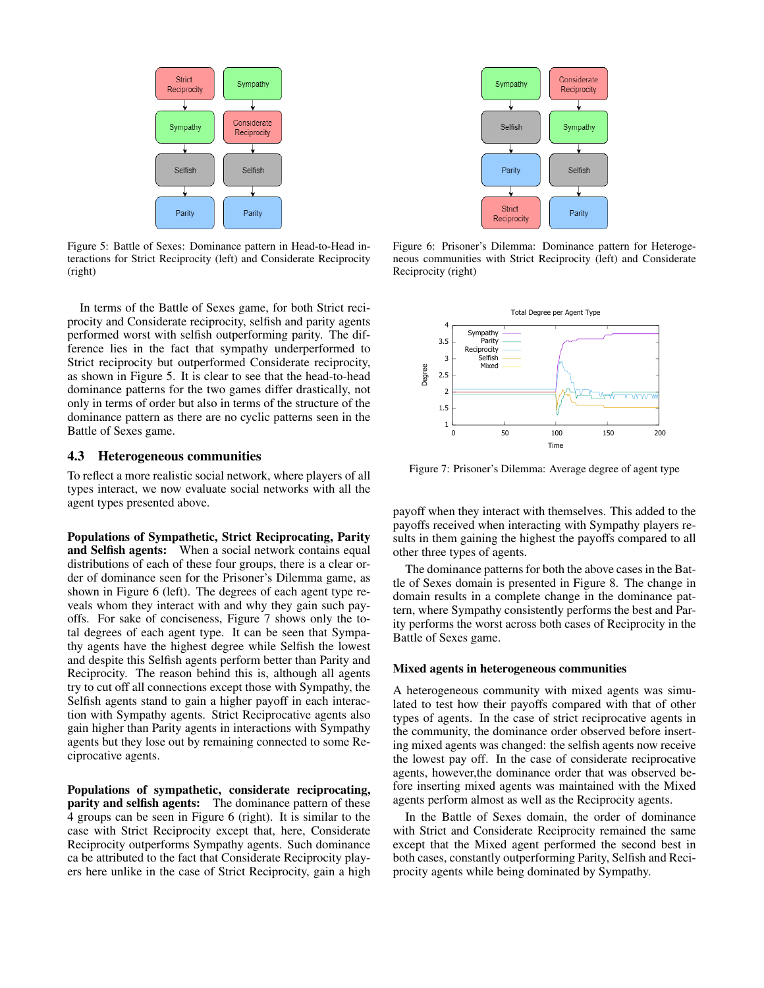

Figure 5: Battle of Sexes: Dominance pattern in Head-to-Head interactions for Strict Reciprocity (left) and Considerate Reciprocity (right)

In terms of the Battle of Sexes game, for both Strict reciprocity and Considerate reciprocity, selfish and parity agents performed worst with selfish outperforming parity. The difference lies in the fact that sympathy underperformed to Strict reciprocity but outperformed Considerate reciprocity, as shown in Figure 5. It is clear to see that the head-to-head dominance patterns for the two games differ drastically, not only in terms of order but also in terms of the structure of the dominance pattern as there are no cyclic patterns seen in the Battle of Sexes game.

### 4.3 Heterogeneous communities

To reflect a more realistic social network, where players of all types interact, we now evaluate social networks with all the agent types presented above.

Populations of Sympathetic, Strict Reciprocating, Parity and Selfish agents: When a social network contains equal distributions of each of these four groups, there is a clear order of dominance seen for the Prisoner's Dilemma game, as shown in Figure 6 (left). The degrees of each agent type reveals whom they interact with and why they gain such payoffs. For sake of conciseness, Figure 7 shows only the total degrees of each agent type. It can be seen that Sympathy agents have the highest degree while Selfish the lowest and despite this Selfish agents perform better than Parity and Reciprocity. The reason behind this is, although all agents try to cut off all connections except those with Sympathy, the Selfish agents stand to gain a higher payoff in each interaction with Sympathy agents. Strict Reciprocative agents also gain higher than Parity agents in interactions with Sympathy agents but they lose out by remaining connected to some Reciprocative agents.

Populations of sympathetic, considerate reciprocating, parity and selfish agents: The dominance pattern of these 4 groups can be seen in Figure 6 (right). It is similar to the case with Strict Reciprocity except that, here, Considerate Reciprocity outperforms Sympathy agents. Such dominance ca be attributed to the fact that Considerate Reciprocity players here unlike in the case of Strict Reciprocity, gain a high



Figure 6: Prisoner's Dilemma: Dominance pattern for Heterogeneous communities with Strict Reciprocity (left) and Considerate Reciprocity (right)



Figure 7: Prisoner's Dilemma: Average degree of agent type

payoff when they interact with themselves. This added to the payoffs received when interacting with Sympathy players results in them gaining the highest the payoffs compared to all other three types of agents.

The dominance patterns for both the above cases in the Battle of Sexes domain is presented in Figure 8. The change in domain results in a complete change in the dominance pattern, where Sympathy consistently performs the best and Parity performs the worst across both cases of Reciprocity in the Battle of Sexes game.

#### Mixed agents in heterogeneous communities

A heterogeneous community with mixed agents was simulated to test how their payoffs compared with that of other types of agents. In the case of strict reciprocative agents in the community, the dominance order observed before inserting mixed agents was changed: the selfish agents now receive the lowest pay off. In the case of considerate reciprocative agents, however,the dominance order that was observed before inserting mixed agents was maintained with the Mixed agents perform almost as well as the Reciprocity agents.

In the Battle of Sexes domain, the order of dominance with Strict and Considerate Reciprocity remained the same except that the Mixed agent performed the second best in both cases, constantly outperforming Parity, Selfish and Reciprocity agents while being dominated by Sympathy.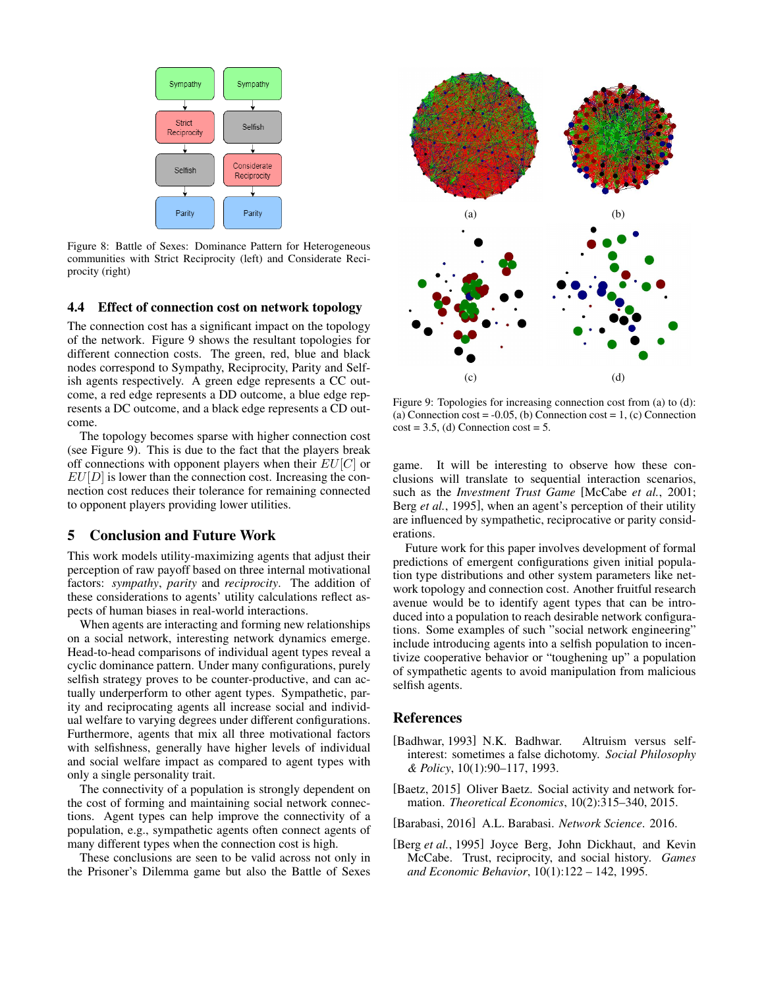

Figure 8: Battle of Sexes: Dominance Pattern for Heterogeneous communities with Strict Reciprocity (left) and Considerate Reciprocity (right)

### 4.4 Effect of connection cost on network topology

The connection cost has a significant impact on the topology of the network. Figure 9 shows the resultant topologies for different connection costs. The green, red, blue and black nodes correspond to Sympathy, Reciprocity, Parity and Selfish agents respectively. A green edge represents a CC outcome, a red edge represents a DD outcome, a blue edge represents a DC outcome, and a black edge represents a CD outcome.

The topology becomes sparse with higher connection cost (see Figure 9). This is due to the fact that the players break off connections with opponent players when their  $EU[C]$  or  $EU[D]$  is lower than the connection cost. Increasing the connection cost reduces their tolerance for remaining connected to opponent players providing lower utilities.

# 5 Conclusion and Future Work

This work models utility-maximizing agents that adjust their perception of raw payoff based on three internal motivational factors: *sympathy*, *parity* and *reciprocity*. The addition of these considerations to agents' utility calculations reflect aspects of human biases in real-world interactions.

When agents are interacting and forming new relationships on a social network, interesting network dynamics emerge. Head-to-head comparisons of individual agent types reveal a cyclic dominance pattern. Under many configurations, purely selfish strategy proves to be counter-productive, and can actually underperform to other agent types. Sympathetic, parity and reciprocating agents all increase social and individual welfare to varying degrees under different configurations. Furthermore, agents that mix all three motivational factors with selfishness, generally have higher levels of individual and social welfare impact as compared to agent types with only a single personality trait.

The connectivity of a population is strongly dependent on the cost of forming and maintaining social network connections. Agent types can help improve the connectivity of a population, e.g., sympathetic agents often connect agents of many different types when the connection cost is high.

These conclusions are seen to be valid across not only in the Prisoner's Dilemma game but also the Battle of Sexes



Figure 9: Topologies for increasing connection cost from (a) to (d): (a) Connection  $cost = -0.05$ , (b) Connection  $cost = 1$ , (c) Connection  $cost = 3.5$ , (d) Connection  $cost = 5$ .

game. It will be interesting to observe how these conclusions will translate to sequential interaction scenarios, such as the *Investment Trust Game* [McCabe *et al.*, 2001; Berg *et al.*, 1995], when an agent's perception of their utility are influenced by sympathetic, reciprocative or parity considerations.

Future work for this paper involves development of formal predictions of emergent configurations given initial population type distributions and other system parameters like network topology and connection cost. Another fruitful research avenue would be to identify agent types that can be introduced into a population to reach desirable network configurations. Some examples of such "social network engineering" include introducing agents into a selfish population to incentivize cooperative behavior or "toughening up" a population of sympathetic agents to avoid manipulation from malicious selfish agents.

### References

- [Badhwar, 1993] N.K. Badhwar. Altruism versus selfinterest: sometimes a false dichotomy. *Social Philosophy & Policy*, 10(1):90–117, 1993.
- [Baetz, 2015] Oliver Baetz. Social activity and network formation. *Theoretical Economics*, 10(2):315–340, 2015.

[Barabasi, 2016] A.L. Barabasi. *Network Science*. 2016.

[Berg *et al.*, 1995] Joyce Berg, John Dickhaut, and Kevin McCabe. Trust, reciprocity, and social history. *Games and Economic Behavior*, 10(1):122 – 142, 1995.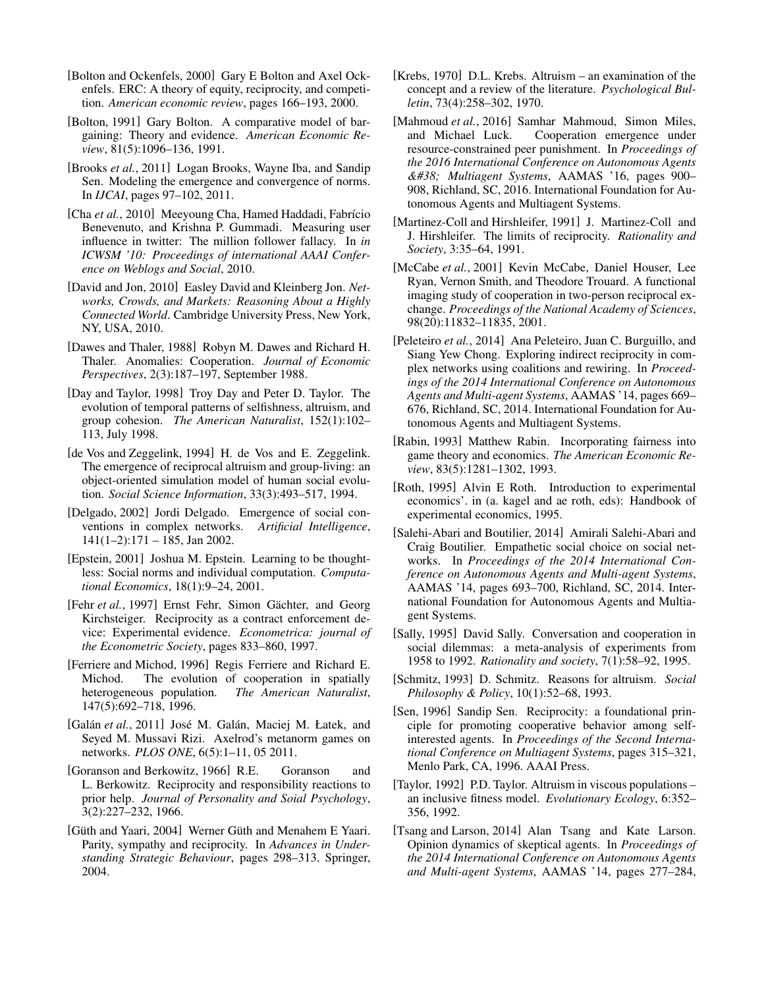- [Bolton and Ockenfels, 2000] Gary E Bolton and Axel Ockenfels. ERC: A theory of equity, reciprocity, and competition. *American economic review*, pages 166–193, 2000.
- [Bolton, 1991] Gary Bolton. A comparative model of bargaining: Theory and evidence. *American Economic Review*, 81(5):1096–136, 1991.
- [Brooks *et al.*, 2011] Logan Brooks, Wayne Iba, and Sandip Sen. Modeling the emergence and convergence of norms. In *IJCAI*, pages 97–102, 2011.
- [Cha *et al.*, 2010] Meeyoung Cha, Hamed Haddadi, Fabrício Benevenuto, and Krishna P. Gummadi. Measuring user influence in twitter: The million follower fallacy. In *in ICWSM '10: Proceedings of international AAAI Conference on Weblogs and Social*, 2010.
- [David and Jon, 2010] Easley David and Kleinberg Jon. *Networks, Crowds, and Markets: Reasoning About a Highly Connected World*. Cambridge University Press, New York, NY, USA, 2010.
- [Dawes and Thaler, 1988] Robyn M. Dawes and Richard H. Thaler. Anomalies: Cooperation. *Journal of Economic Perspectives*, 2(3):187–197, September 1988.
- [Day and Taylor, 1998] Troy Day and Peter D. Taylor. The evolution of temporal patterns of selfishness, altruism, and group cohesion. *The American Naturalist*, 152(1):102– 113, July 1998.
- [de Vos and Zeggelink, 1994] H. de Vos and E. Zeggelink. The emergence of reciprocal altruism and group-living: an object-oriented simulation model of human social evolution. *Social Science Information*, 33(3):493–517, 1994.
- [Delgado, 2002] Jordi Delgado. Emergence of social conventions in complex networks. *Artificial Intelligence*,  $141(1-2):171-185$ , Jan 2002.
- [Epstein, 2001] Joshua M. Epstein. Learning to be thoughtless: Social norms and individual computation. *Computational Economics*, 18(1):9–24, 2001.
- [Fehr *et al.*, 1997] Ernst Fehr, Simon Gächter, and Georg Kirchsteiger. Reciprocity as a contract enforcement device: Experimental evidence. *Econometrica: journal of the Econometric Society*, pages 833–860, 1997.
- [Ferriere and Michod, 1996] Regis Ferriere and Richard E. Michod. The evolution of cooperation in spatially heterogeneous population. *The American Naturalist*, 147(5):692–718, 1996.
- [Galán *et al.*, 2011] José M. Galán, Maciej M. Łatek, and Seyed M. Mussavi Rizi. Axelrod's metanorm games on networks. *PLOS ONE*, 6(5):1–11, 05 2011.
- [Goranson and Berkowitz, 1966] R.E. Goranson and L. Berkowitz. Reciprocity and responsibility reactions to prior help. *Journal of Personality and Soial Psychology*, 3(2):227–232, 1966.
- [Güth and Yaari, 2004] Werner Güth and Menahem E Yaari. Parity, sympathy and reciprocity. In *Advances in Understanding Strategic Behaviour*, pages 298–313. Springer, 2004.
- [Krebs, 1970] D.L. Krebs. Altruism an examination of the concept and a review of the literature. *Psychological Bulletin*, 73(4):258–302, 1970.
- [Mahmoud *et al.*, 2016] Samhar Mahmoud, Simon Miles, and Michael Luck. Cooperation emergence under resource-constrained peer punishment. In *Proceedings of the 2016 International Conference on Autonomous Agents & Multiagent Systems*, AAMAS '16, pages 900– 908, Richland, SC, 2016. International Foundation for Autonomous Agents and Multiagent Systems.
- [Martinez-Coll and Hirshleifer, 1991] J. Martinez-Coll and J. Hirshleifer. The limits of reciprocity. *Rationality and Society*, 3:35–64, 1991.
- [McCabe et al., 2001] Kevin McCabe, Daniel Houser, Lee Ryan, Vernon Smith, and Theodore Trouard. A functional imaging study of cooperation in two-person reciprocal exchange. *Proceedings of the National Academy of Sciences*, 98(20):11832–11835, 2001.
- [Peleteiro *et al.*, 2014] Ana Peleteiro, Juan C. Burguillo, and Siang Yew Chong. Exploring indirect reciprocity in complex networks using coalitions and rewiring. In *Proceedings of the 2014 International Conference on Autonomous Agents and Multi-agent Systems*, AAMAS '14, pages 669– 676, Richland, SC, 2014. International Foundation for Autonomous Agents and Multiagent Systems.
- [Rabin, 1993] Matthew Rabin. Incorporating fairness into game theory and economics. *The American Economic Review*, 83(5):1281–1302, 1993.
- [Roth, 1995] Alvin E Roth. Introduction to experimental economics'. in (a. kagel and ae roth, eds): Handbook of experimental economics, 1995.
- [Salehi-Abari and Boutilier, 2014] Amirali Salehi-Abari and Craig Boutilier. Empathetic social choice on social networks. In *Proceedings of the 2014 International Conference on Autonomous Agents and Multi-agent Systems*, AAMAS '14, pages 693–700, Richland, SC, 2014. International Foundation for Autonomous Agents and Multiagent Systems.
- [Sally, 1995] David Sally. Conversation and cooperation in social dilemmas: a meta-analysis of experiments from 1958 to 1992. *Rationality and society*, 7(1):58–92, 1995.
- [Schmitz, 1993] D. Schmitz. Reasons for altruism. *Social Philosophy & Policy*, 10(1):52–68, 1993.
- [Sen, 1996] Sandip Sen. Reciprocity: a foundational principle for promoting cooperative behavior among selfinterested agents. In *Proceedings of the Second International Conference on Multiagent Systems*, pages 315–321, Menlo Park, CA, 1996. AAAI Press.
- [Taylor, 1992] P.D. Taylor. Altruism in viscous populations an inclusive fitness model. *Evolutionary Ecology*, 6:352– 356, 1992.
- [Tsang and Larson, 2014] Alan Tsang and Kate Larson. Opinion dynamics of skeptical agents. In *Proceedings of the 2014 International Conference on Autonomous Agents and Multi-agent Systems*, AAMAS '14, pages 277–284,